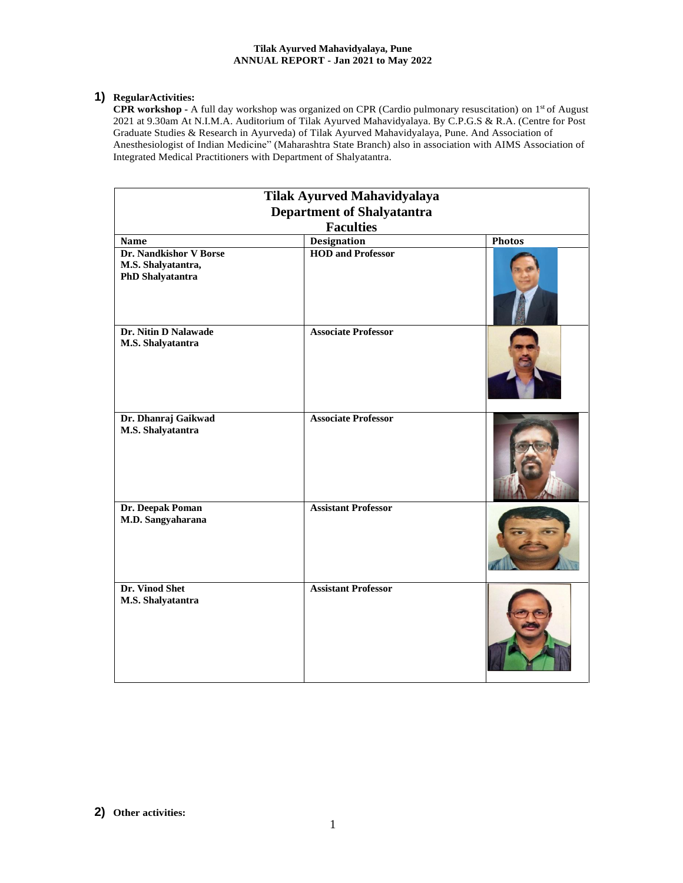#### **Tilak Ayurved Mahavidyalaya, Pune ANNUAL REPORT - Jan 2021 to May 2022**

## **1) RegularActivities:**

CPR workshop - A full day workshop was organized on CPR (Cardio pulmonary resuscitation) on 1<sup>st</sup> of August 2021 at 9.30am At N.I.M.A. Auditorium of Tilak Ayurved Mahavidyalaya. By C.P.G.S & R.A. (Centre for Post Graduate Studies & Research in Ayurveda) of Tilak Ayurved Mahavidyalaya, Pune. And Association of Anesthesiologist of Indian Medicine" (Maharashtra State Branch) also in association with AIMS Association of Integrated Medical Practitioners with Department of Shalyatantra.

| Tilak Ayurved Mahavidyalaya                                      |                                   |               |  |
|------------------------------------------------------------------|-----------------------------------|---------------|--|
|                                                                  | <b>Department of Shalyatantra</b> |               |  |
|                                                                  | <b>Faculties</b>                  |               |  |
| Name                                                             | <b>Designation</b>                | <b>Photos</b> |  |
| Dr. Nandkishor V Borse<br>M.S. Shalyatantra,<br>PhD Shalyatantra | <b>HOD and Professor</b>          |               |  |
| Dr. Nitin D Nalawade<br>M.S. Shalyatantra                        | <b>Associate Professor</b>        |               |  |
| Dr. Dhanraj Gaikwad<br>M.S. Shalyatantra                         | <b>Associate Professor</b>        |               |  |
| Dr. Deepak Poman<br>M.D. Sangyaharana                            | <b>Assistant Professor</b>        |               |  |
| Dr. Vinod Shet<br>M.S. Shalyatantra                              | <b>Assistant Professor</b>        |               |  |

**2) Other activities:**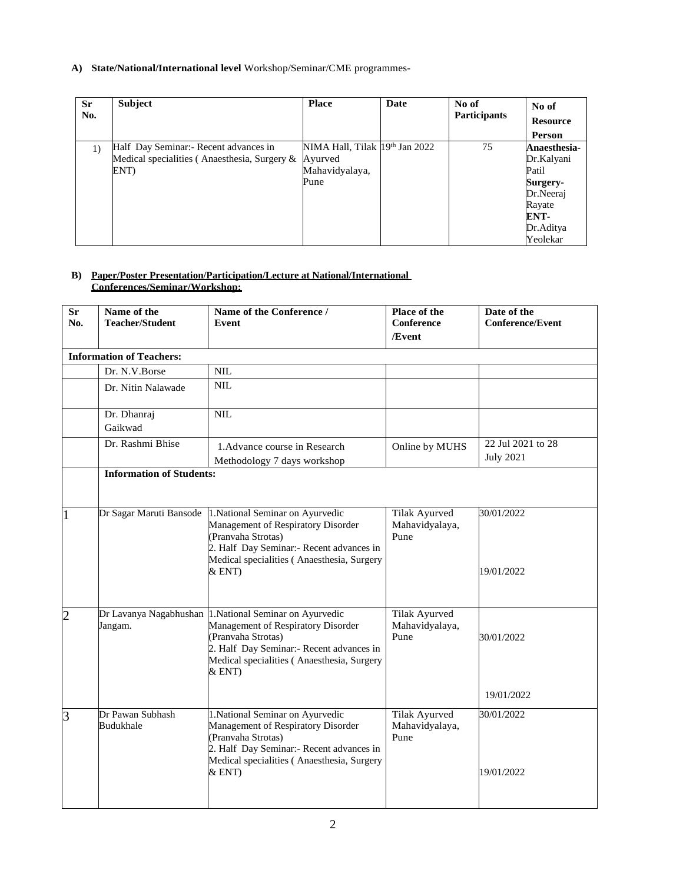### **A) State/National/International level** Workshop/Seminar/CME programmes-

| <b>Sr</b><br>No. | <b>Subject</b>                               | <b>Place</b>                   | Date | No of<br><b>Participants</b> | No of<br><b>Resource</b> |
|------------------|----------------------------------------------|--------------------------------|------|------------------------------|--------------------------|
|                  |                                              |                                |      |                              | Person                   |
| 1)               | Half Day Seminar: Recent advances in         | NIMA Hall, Tilak 19th Jan 2022 |      | 75                           | Anaesthesia-             |
|                  | Medical specialities (Anaesthesia, Surgery & | Ayurved                        |      |                              | Dr.Kalyani               |
|                  | ENT)                                         | Mahavidyalaya,                 |      |                              | Patil                    |
|                  |                                              | Pune                           |      |                              | Surgery-                 |
|                  |                                              |                                |      |                              | Dr.Neeraj                |
|                  |                                              |                                |      |                              | Rayate                   |
|                  |                                              |                                |      |                              | ENT-                     |
|                  |                                              |                                |      |                              | Dr.Aditya                |
|                  |                                              |                                |      |                              | Yeolekar                 |

#### **B) Paper/Poster Presentation/Participation/Lecture at National/International Conferences/Seminar/Workshop:**

| Sr<br>No.      | Name of the<br><b>Teacher/Student</b> | Name of the Conference /<br>Event                                                                                                                                                                                        | Place of the<br>Conference                     | Date of the<br><b>Conference/Event</b> |  |  |
|----------------|---------------------------------------|--------------------------------------------------------------------------------------------------------------------------------------------------------------------------------------------------------------------------|------------------------------------------------|----------------------------------------|--|--|
|                |                                       |                                                                                                                                                                                                                          | /Event                                         |                                        |  |  |
|                | <b>Information of Teachers:</b>       |                                                                                                                                                                                                                          |                                                |                                        |  |  |
|                | Dr. N.V.Borse                         | $\text{NIL}$                                                                                                                                                                                                             |                                                |                                        |  |  |
|                | Dr. Nitin Nalawade                    | <b>NIL</b>                                                                                                                                                                                                               |                                                |                                        |  |  |
|                | Dr. Dhanraj<br>Gaikwad                | <b>NIL</b>                                                                                                                                                                                                               |                                                |                                        |  |  |
|                | Dr. Rashmi Bhise                      | 1. Advance course in Research                                                                                                                                                                                            | Online by MUHS                                 | 22 Jul 2021 to 28                      |  |  |
|                |                                       | Methodology 7 days workshop                                                                                                                                                                                              |                                                | <b>July 2021</b>                       |  |  |
|                | <b>Information of Students:</b>       |                                                                                                                                                                                                                          |                                                |                                        |  |  |
|                |                                       |                                                                                                                                                                                                                          |                                                |                                        |  |  |
| $\overline{1}$ | Dr Sagar Maruti Bansode               | 1. National Seminar on Ayurvedic<br>Management of Respiratory Disorder<br>(Pranvaha Strotas)<br>2. Half Day Seminar:- Recent advances in<br>Medical specialities (Anaesthesia, Surgery                                   | <b>Tilak Ayurved</b><br>Mahavidyalaya,<br>Pune | 30/01/2022                             |  |  |
|                |                                       | &ENT                                                                                                                                                                                                                     |                                                | 19/01/2022                             |  |  |
| $\overline{c}$ | Jangam.                               | Dr Lavanya Nagabhushan 1. National Seminar on Ayurvedic<br>Management of Respiratory Disorder<br>(Pranvaha Strotas)<br>2. Half Day Seminar: - Recent advances in<br>Medical specialities (Anaesthesia, Surgery<br>& ENT) | <b>Tilak Ayurved</b><br>Mahavidyalaya,<br>Pune | 30/01/2022                             |  |  |
|                |                                       |                                                                                                                                                                                                                          |                                                | 19/01/2022                             |  |  |
| $\overline{3}$ | Dr Pawan Subhash<br>Budukhale         | 1. National Seminar on Ayurvedic<br>Management of Respiratory Disorder<br>(Pranvaha Strotas)<br>2. Half Day Seminar:- Recent advances in<br>Medical specialities (Anaesthesia, Surgery                                   | Tilak Ayurved<br>Mahavidyalaya,<br>Pune        | 30/01/2022                             |  |  |
|                |                                       | & ENT)                                                                                                                                                                                                                   |                                                | 19/01/2022                             |  |  |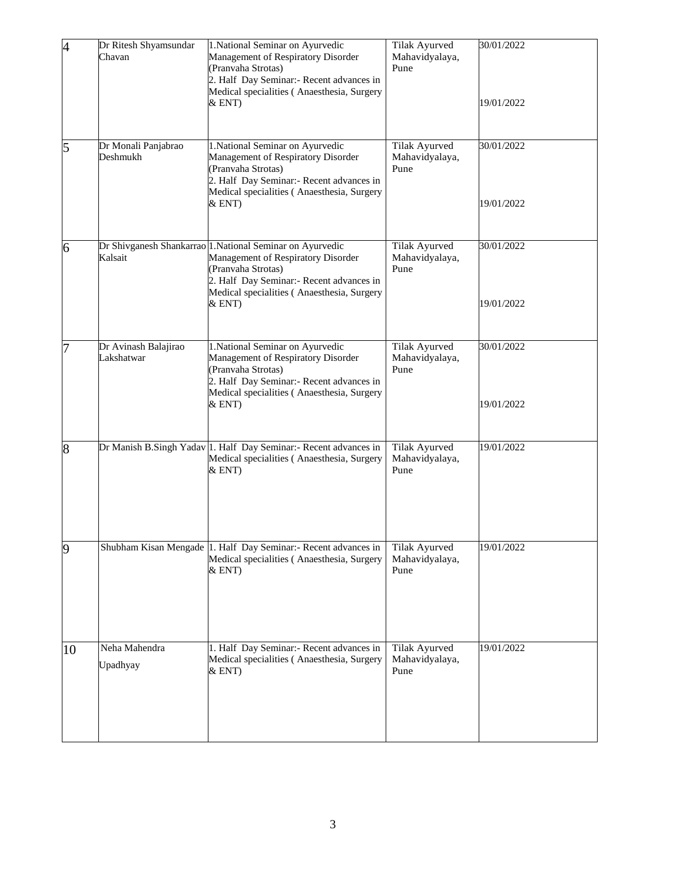| $\overline{A}$ | Dr Ritesh Shyamsundar<br>Chavan    | 1. National Seminar on Ayurvedic<br>Management of Respiratory Disorder<br>(Pranvaha Strotas)<br>2. Half Day Seminar: - Recent advances in<br>Medical specialities (Anaesthesia, Surgery<br>&ENT                          | Tilak Ayurved<br>Mahavidyalaya,<br>Pune | 30/01/2022<br>19/01/2022 |
|----------------|------------------------------------|--------------------------------------------------------------------------------------------------------------------------------------------------------------------------------------------------------------------------|-----------------------------------------|--------------------------|
| 5              | Dr Monali Panjabrao<br>Deshmukh    | 1. National Seminar on Ayurvedic<br>Management of Respiratory Disorder<br>(Pranvaha Strotas)<br>2. Half Day Seminar: - Recent advances in<br>Medical specialities (Anaesthesia, Surgery<br>&ENT)                         | Tilak Ayurved<br>Mahavidyalaya,<br>Pune | 30/01/2022<br>19/01/2022 |
| 6              | Kalsait                            | Dr Shivganesh Shankarrao 1. National Seminar on Ayurvedic<br>Management of Respiratory Disorder<br>(Pranvaha Strotas)<br>2. Half Day Seminar: - Recent advances in<br>Medical specialities (Anaesthesia, Surgery<br>&ENT | Tilak Ayurved<br>Mahavidyalaya,<br>Pune | 30/01/2022<br>19/01/2022 |
| 7              | Dr Avinash Balajirao<br>Lakshatwar | 1. National Seminar on Ayurvedic<br>Management of Respiratory Disorder<br>(Pranvaha Strotas)<br>2. Half Day Seminar: - Recent advances in<br>Medical specialities (Anaesthesia, Surgery<br>&ENT)                         | Tilak Ayurved<br>Mahavidyalaya,<br>Pune | 30/01/2022<br>19/01/2022 |
| 8              |                                    | Dr Manish B.Singh Yadav 1. Half Day Seminar:- Recent advances in<br>Medical specialities (Anaesthesia, Surgery<br>&ENT)                                                                                                  | Tilak Ayurved<br>Mahavidyalaya,<br>Pune | 19/01/2022               |
| $\overline{9}$ |                                    | Shubham Kisan Mengade 1. Half Day Seminar:- Recent advances in<br>Medical specialities (Anaesthesia, Surgery<br>&ENT                                                                                                     | Tilak Ayurved<br>Mahavidyalaya,<br>Pune | 19/01/2022               |
| 10             | Neha Mahendra<br>Upadhyay          | 1. Half Day Seminar:- Recent advances in<br>Medical specialities (Anaesthesia, Surgery<br>& ENT)                                                                                                                         | Tilak Ayurved<br>Mahavidyalaya,<br>Pune | 19/01/2022               |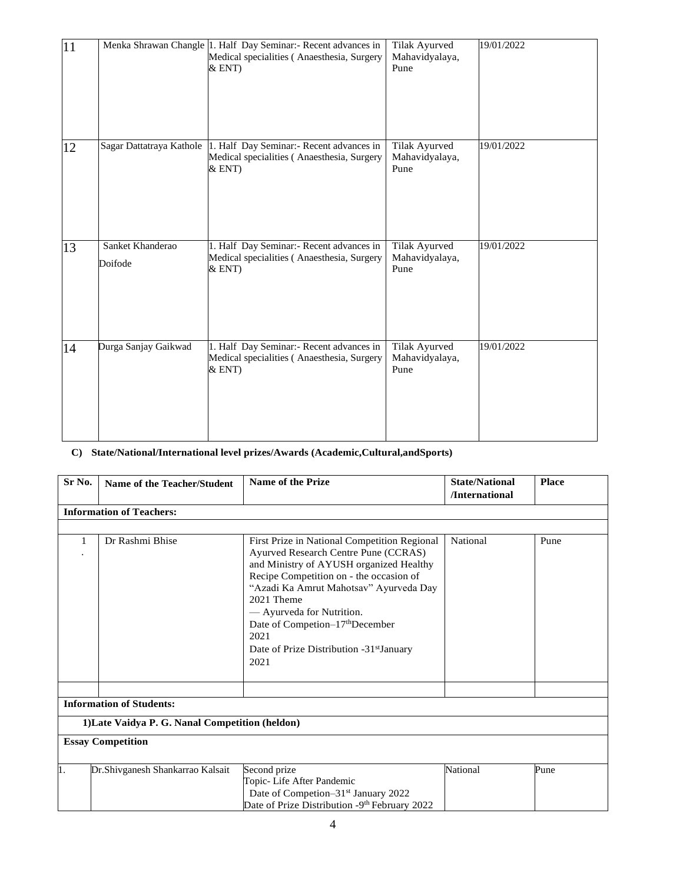| 11 |                             | Menka Shrawan Changle 1. Half Day Seminar:- Recent advances in<br>Medical specialities (Anaesthesia, Surgery<br>&ENT | Tilak Ayurved<br>Mahavidyalaya,<br>Pune | 19/01/2022 |
|----|-----------------------------|----------------------------------------------------------------------------------------------------------------------|-----------------------------------------|------------|
| 12 | Sagar Dattatraya Kathole    | 1. Half Day Seminar:- Recent advances in<br>Medical specialities (Anaesthesia, Surgery<br>&ENT)                      | Tilak Ayurved<br>Mahavidyalaya,<br>Pune | 19/01/2022 |
| 13 | Sanket Khanderao<br>Doifode | 1. Half Day Seminar:- Recent advances in<br>Medical specialities (Anaesthesia, Surgery<br>&ENT)                      | Tilak Ayurved<br>Mahavidyalaya,<br>Pune | 19/01/2022 |
| 14 | Durga Sanjay Gaikwad        | 1. Half Day Seminar:- Recent advances in<br>Medical specialities (Anaesthesia, Surgery<br>&ENT                       | Tilak Ayurved<br>Mahavidyalaya,<br>Pune | 19/01/2022 |

# **C) State/National/International level prizes/Awards (Academic,Cultural,andSports)**

| Sr No.                   | Name of the Teacher/Student                     | Name of the Prize                                                                                                                                                                                                                                                                                                                                                                      | <b>State/National</b><br>/International | <b>Place</b> |  |  |
|--------------------------|-------------------------------------------------|----------------------------------------------------------------------------------------------------------------------------------------------------------------------------------------------------------------------------------------------------------------------------------------------------------------------------------------------------------------------------------------|-----------------------------------------|--------------|--|--|
|                          | <b>Information of Teachers:</b>                 |                                                                                                                                                                                                                                                                                                                                                                                        |                                         |              |  |  |
|                          |                                                 |                                                                                                                                                                                                                                                                                                                                                                                        |                                         |              |  |  |
|                          | Dr Rashmi Bhise                                 | First Prize in National Competition Regional<br>Ayurved Research Centre Pune (CCRAS)<br>and Ministry of AYUSH organized Healthy<br>Recipe Competition on - the occasion of<br>"Azadi Ka Amrut Mahotsav" Ayurveda Day<br>2021 Theme<br>- Ayurveda for Nutrition.<br>Date of Competion-17 <sup>th</sup> December<br>2021<br>Date of Prize Distribution -31 <sup>st</sup> January<br>2021 | National                                | Pune         |  |  |
|                          |                                                 |                                                                                                                                                                                                                                                                                                                                                                                        |                                         |              |  |  |
|                          | <b>Information of Students:</b>                 |                                                                                                                                                                                                                                                                                                                                                                                        |                                         |              |  |  |
|                          | 1) Late Vaidya P. G. Nanal Competition (heldon) |                                                                                                                                                                                                                                                                                                                                                                                        |                                         |              |  |  |
| <b>Essay Competition</b> |                                                 |                                                                                                                                                                                                                                                                                                                                                                                        |                                         |              |  |  |
| $\mathbf{1}$ .           | Dr.Shivganesh Shankarrao Kalsait                | Second prize<br>Topic-Life After Pandemic<br>Date of Competion–31 <sup>st</sup> January 2022<br>Date of Prize Distribution -9th February 2022                                                                                                                                                                                                                                          | National                                | Pune         |  |  |